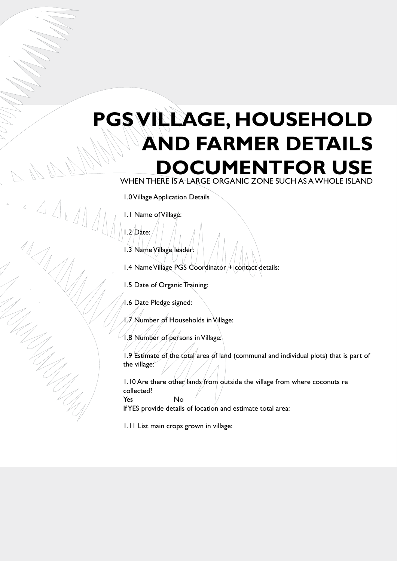## **PGS Village, Household and Farmer Details DCUMENTFOR USE** when there is a large organic zone such as a whole Island

1.0 Village Application Details

1.1 Name of Village:

1.2 Date:

 $\overline{a}$ 

1.3 Name Village leader:

1.4 Name Village PGS Coordinator + contact details:

1.5 Date of Organic Training:

1.6 Date Pledge signed:

 $1.7$  Number of Households in Village:

1.8 Number of persons in Village:

1.9 Estimate of the total area of land (communal and individual plots) that is part of the village:

1.10 Are there other lands from outside the village from where coconuts re collected? Yes No

If YES provide details of location and estimate total area:

1.11 List main crops grown in village: